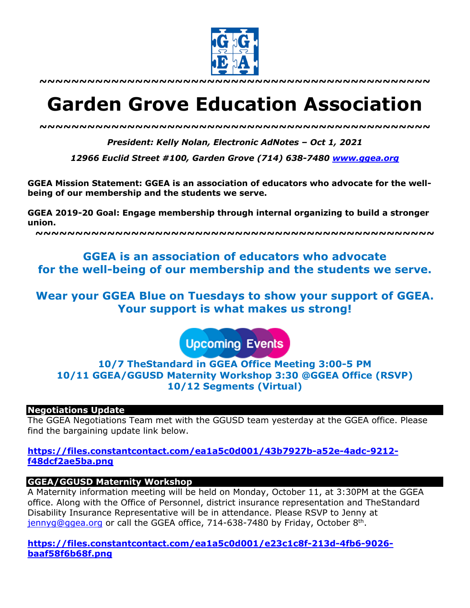

**~~~~~~~~~~~~~~~~~~~~~~~~~~~~~~~~~~~~~~~~~~~~~~~~~**

# **Garden Grove Education Association**

*~~~~~~~~~~~~~~~~~~~~~~~~~~~~~~~~~~~~~~~~~~~~~~~~~*

*President: Kelly Nolan, Electronic AdNotes – Oct 1, 2021*

*12966 Euclid Street #100, Garden Grove (714) 638-7480 www.ggea.org*

**GGEA Mission Statement: GGEA is an association of educators who advocate for the wellbeing of our membership and the students we serve.** 

**GGEA 2019-20 Goal: Engage membership through internal organizing to build a stronger union.**

**~~~~~~~~~~~~~~~~~~~~~~~~~~~~~~~~~~~~~~~~~~~~~~~~~~**

# **GGEA is an association of educators who advocate for the well-being of our membership and the students we serve.**

**Wear your GGEA Blue on Tuesdays to show your support of GGEA. Your support is what makes us strong!**

**Upcoming Events** 

# **10/7 TheStandard in GGEA Office Meeting 3:00-5 PM 10/11 GGEA/GGUSD Maternity Workshop 3:30 @GGEA Office (RSVP) 10/12 Segments (Virtual)**

### **Negotiations Update**

The GGEA Negotiations Team met with the GGUSD team yesterday at the GGEA office. Please find the bargaining update link below.

# **https://files.constantcontact.com/ea1a5c0d001/43b7927b-a52e-4adc-9212 f48dcf2ae5ba.png**

### **GGEA/GGUSD Maternity Workshop**

A Maternity information meeting will be held on Monday, October 11, at 3:30PM at the GGEA office. Along with the Office of Personnel, district insurance representation and TheStandard Disability Insurance Representative will be in attendance. Please RSVP to Jenny at  $jennyq@qqea.org$  or call the GGEA office, 714-638-7480 by Friday, October 8<sup>th</sup>.

**https://files.constantcontact.com/ea1a5c0d001/e23c1c8f-213d-4fb6-9026 baaf58f6b68f.png**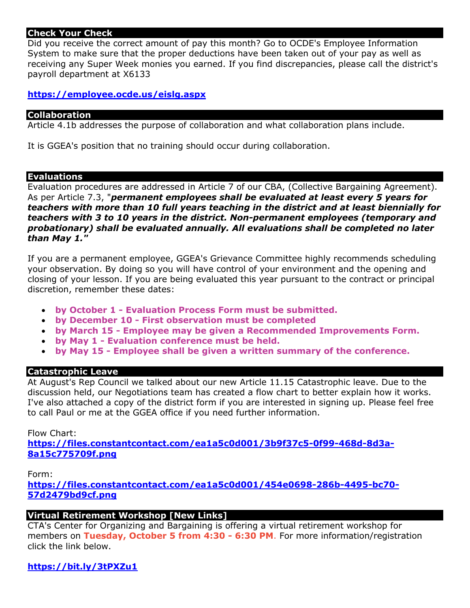# **Check Your Check**

Did you receive the correct amount of pay this month? Go to OCDE's Employee Information System to make sure that the proper deductions have been taken out of your pay as well as receiving any Super Week monies you earned. If you find discrepancies, please call the district's payroll department at X6133

# **https://employee.ocde.us/eislg.aspx**

### **Collaboration**

Article 4.1b addresses the purpose of collaboration and what collaboration plans include.

It is GGEA's position that no training should occur during collaboration.

#### **Evaluations**

Evaluation procedures are addressed in Article 7 of our CBA, (Collective Bargaining Agreement). As per Article 7.3, "*permanent employees shall be evaluated at least every 5 years for teachers with more than 10 full years teaching in the district and at least biennially for teachers with 3 to 10 years in the district. Non-permanent employees (temporary and probationary) shall be evaluated annually. All evaluations shall be completed no later than May 1."*

If you are a permanent employee, GGEA's Grievance Committee highly recommends scheduling your observation. By doing so you will have control of your environment and the opening and closing of your lesson. If you are being evaluated this year pursuant to the contract or principal discretion, remember these dates:

- **by October 1 - Evaluation Process Form must be submitted.**
- **by December 10 - First observation must be completed**
- **by March 15 - Employee may be given a Recommended Improvements Form.**
- **by May 1 - Evaluation conference must be held.**
- **by May 15 - Employee shall be given a written summary of the conference.**

### **Catastrophic Leave**

At August's Rep Council we talked about our new Article 11.15 Catastrophic leave. Due to the discussion held, our Negotiations team has created a flow chart to better explain how it works. I've also attached a copy of the district form if you are interested in signing up. Please feel free to call Paul or me at the GGEA office if you need further information.

### Flow Chart:

**https://files.constantcontact.com/ea1a5c0d001/3b9f37c5-0f99-468d-8d3a-8a15c775709f.png**

### Form:

**https://files.constantcontact.com/ea1a5c0d001/454e0698-286b-4495-bc70- 57d2479bd9cf.png**

# **Virtual Retirement Workshop [New Links]**

CTA's Center for Organizing and Bargaining is offering a virtual retirement workshop for members on **Tuesday, October 5 from 4:30 - 6:30 PM**. For more information/registration click the link below.

# **https://bit.ly/3tPXZu1**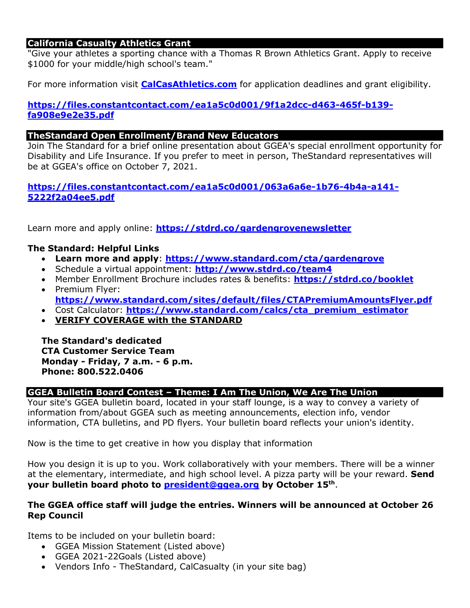# **California Casualty Athletics Grant**

"Give your athletes a sporting chance with a Thomas R Brown Athletics Grant. Apply to receive \$1000 for your middle/high school's team."

For more information visit **CalCasAthletics.com** for application deadlines and grant eligibility.

# **https://files.constantcontact.com/ea1a5c0d001/9f1a2dcc-d463-465f-b139 fa908e9e2e35.pdf**

# **TheStandard Open Enrollment/Brand New Educators**

Join The Standard for a brief online presentation about GGEA's special enrollment opportunity for Disability and Life Insurance. If you prefer to meet in person, TheStandard representatives will be at GGEA's office on October 7, 2021.

# **https://files.constantcontact.com/ea1a5c0d001/063a6a6e-1b76-4b4a-a141- 5222f2a04ee5.pdf**

Learn more and apply online: **https://stdrd.co/gardengrovenewsletter**

# **The Standard: Helpful Links**

- **Learn more and apply**: **https://www.standard.com/cta/gardengrove**
- Schedule a virtual appointment: **http://www.stdrd.co/team4**
- Member Enrollment Brochure includes rates & benefits: **https://stdrd.co/booklet** • Premium Flyer:
	- **https://www.standard.com/sites/default/files/CTAPremiumAmountsFlyer.pdf**
- Cost Calculator: **https://www.standard.com/calcs/cta\_premium\_estimator**
- **VERIFY COVERAGE with the STANDARD**

**The Standard's dedicated CTA Customer Service Team Monday - Friday, 7 a.m. - 6 p.m. Phone: 800.522.0406**

### **GGEA Bulletin Board Contest – Theme: I Am The Union, We Are The Union**

Your site's GGEA bulletin board, located in your staff lounge, is a way to convey a variety of information from/about GGEA such as meeting announcements, election info, vendor information, CTA bulletins, and PD flyers. Your bulletin board reflects your union's identity.

Now is the time to get creative in how you display that information

How you design it is up to you. Work collaboratively with your members. There will be a winner at the elementary, intermediate, and high school level. A pizza party will be your reward. **Send your bulletin board photo to president@ggea.org by October 15th**.

### **The GGEA office staff will judge the entries. Winners will be announced at October 26 Rep Council**

Items to be included on your bulletin board:

- GGEA Mission Statement (Listed above)
- GGEA 2021-22Goals (Listed above)
- Vendors Info TheStandard, CalCasualty (in your site bag)